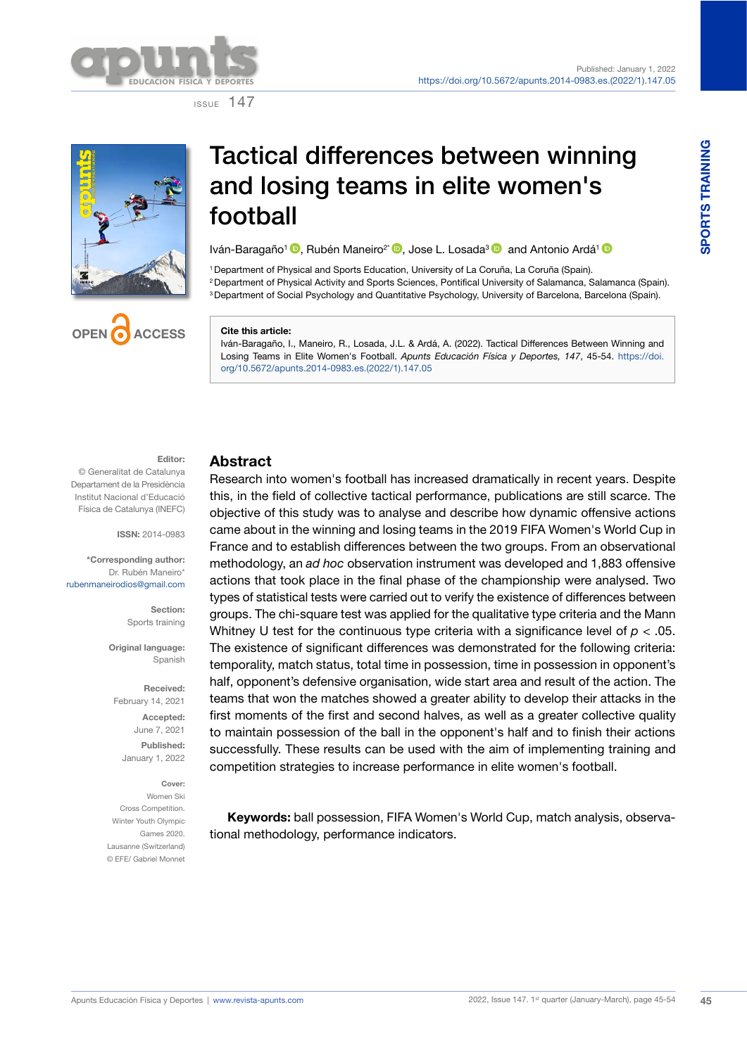

ISSUE 147





Iván-Baragaño<sup>1</sup> <sup>(D</sup>. Rubén Maneiro<sup>2\*</sup> <sup>(D</sup>. Jose L. Losada<sup>3</sup> and Antonio Ardá<sup>1</sup> <sup>(D</sup>

1Department of Physical and Sports Education, University of La Coruña, La Coruña (Spain). 2 Department of Physical Activity and Sports Sciences, Pontifical University of Salamanca, Salamanca (Spain). 3 Department of Social Psychology and Quantitative Psychology, University of Barcelona, Barcelona (Spain).

#### **Cite this article:**

Iván-Baragaño, I., Maneiro, R., Losada, J.L. & Ardá, A. (2022). Tactical Differences Between Winning and Losing Teams in Elite Women's Football. *Apunts Educación Física y Deportes, 147*, 45-54. [https://doi.](https://doi.org/10.5672/apunts.2014-0983.es.(2022/1).147.05) [org/10.5672/apunts.2014-0983.es.\(2022/1\).147.05](https://doi.org/10.5672/apunts.2014-0983.es.(2022/1).147.05)

### **Editor:**

**OPEN ACCESS**

© Generalitat de Catalunya Departament de la Presidència Institut Nacional d'Educació Física de Catalunya (INEFC)

**ISSN:** 2014-0983

**\*Corresponding author:** Dr. Rubén Maneiro\* [rubenmaneirodios@gmail.com](mailto:rubenmaneirodios@gmail.com)

> **Section:** Sports training

**Original language:** Spanish

**Received:** February 14, 2021 **Accepted:** June 7, 2021 **Published:**  January 1, 2022

**Cover:** Women Ski Cross Competition. Winter Youth Olympic Games 2020. Lausanne (Switzerland) © EFE/ Gabriel Monnet

### **Abstract**

Research into women's football has increased dramatically in recent years. Despite this, in the field of collective tactical performance, publications are still scarce. The objective of this study was to analyse and describe how dynamic offensive actions came about in the winning and losing teams in the 2019 FIFA Women's World Cup in France and to establish differences between the two groups. From an observational methodology, an *ad hoc* observation instrument was developed and 1,883 offensive actions that took place in the final phase of the championship were analysed. Two types of statistical tests were carried out to verify the existence of differences between groups. The chi-square test was applied for the qualitative type criteria and the Mann Whitney U test for the continuous type criteria with a significance level of  $p < 0.05$ . The existence of significant differences was demonstrated for the following criteria: temporality, match status, total time in possession, time in possession in opponent's half, opponent's defensive organisation, wide start area and result of the action. The teams that won the matches showed a greater ability to develop their attacks in the first moments of the first and second halves, as well as a greater collective quality to maintain possession of the ball in the opponent's half and to finish their actions successfully. These results can be used with the aim of implementing training and competition strategies to increase performance in elite women's football.

**Keywords:** ball possession, FIFA Women's World Cup, match analysis, observational methodology, performance indicators.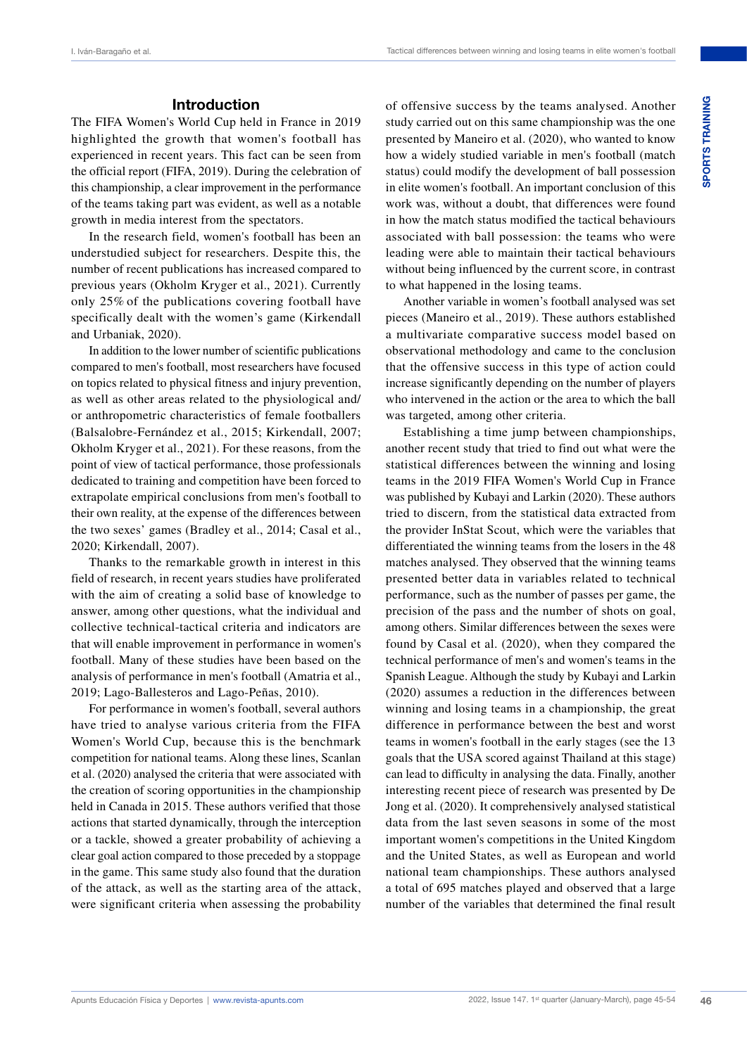# **Introduction**

The FIFA Women's World Cup held in France in 2019 highlighted the growth that women's football has experienced in recent years. This fact can be seen from the official report (FIFA, 2019). During the celebration of this championship, a clear improvement in the performance of the teams taking part was evident, as well as a notable growth in media interest from the spectators.

In the research field, women's football has been an understudied subject for researchers. Despite this, the number of recent publications has increased compared to previous years (Okholm Kryger et al., 2021). Currently only 25% of the publications covering football have specifically dealt with the women's game (Kirkendall and Urbaniak, 2020).

In addition to the lower number of scientific publications compared to men's football, most researchers have focused on topics related to physical fitness and injury prevention, as well as other areas related to the physiological and/ or anthropometric characteristics of female footballers (Balsalobre-Fernández et al., 2015; Kirkendall, 2007; Okholm Kryger et al., 2021). For these reasons, from the point of view of tactical performance, those professionals dedicated to training and competition have been forced to extrapolate empirical conclusions from men's football to their own reality, at the expense of the differences between the two sexes' games (Bradley et al., 2014; Casal et al., 2020; Kirkendall, 2007).

Thanks to the remarkable growth in interest in this field of research, in recent years studies have proliferated with the aim of creating a solid base of knowledge to answer, among other questions, what the individual and collective technical-tactical criteria and indicators are that will enable improvement in performance in women's football. Many of these studies have been based on the analysis of performance in men's football (Amatria et al., 2019; Lago-Ballesteros and Lago-Peñas, 2010).

For performance in women's football, several authors have tried to analyse various criteria from the FIFA Women's World Cup, because this is the benchmark competition for national teams. Along these lines, Scanlan et al. (2020) analysed the criteria that were associated with the creation of scoring opportunities in the championship held in Canada in 2015. These authors verified that those actions that started dynamically, through the interception or a tackle, showed a greater probability of achieving a clear goal action compared to those preceded by a stoppage in the game. This same study also found that the duration of the attack, as well as the starting area of the attack, were significant criteria when assessing the probability

of offensive success by the teams analysed. Another study carried out on this same championship was the one presented by Maneiro et al. (2020), who wanted to know how a widely studied variable in men's football (match status) could modify the development of ball possession in elite women's football. An important conclusion of this work was, without a doubt, that differences were found in how the match status modified the tactical behaviours associated with ball possession: the teams who were leading were able to maintain their tactical behaviours without being influenced by the current score, in contrast to what happened in the losing teams.

Another variable in women's football analysed was set pieces (Maneiro et al., 2019). These authors established a multivariate comparative success model based on observational methodology and came to the conclusion that the offensive success in this type of action could increase significantly depending on the number of players who intervened in the action or the area to which the ball was targeted, among other criteria.

Establishing a time jump between championships, another recent study that tried to find out what were the statistical differences between the winning and losing teams in the 2019 FIFA Women's World Cup in France was published by Kubayi and Larkin (2020). These authors tried to discern, from the statistical data extracted from the provider InStat Scout, which were the variables that differentiated the winning teams from the losers in the 48 matches analysed. They observed that the winning teams presented better data in variables related to technical performance, such as the number of passes per game, the precision of the pass and the number of shots on goal, among others. Similar differences between the sexes were found by Casal et al. (2020), when they compared the technical performance of men's and women's teams in the Spanish League. Although the study by Kubayi and Larkin (2020) assumes a reduction in the differences between winning and losing teams in a championship, the great difference in performance between the best and worst teams in women's football in the early stages (see the 13 goals that the USA scored against Thailand at this stage) can lead to difficulty in analysing the data. Finally, another interesting recent piece of research was presented by De Jong et al. (2020). It comprehensively analysed statistical data from the last seven seasons in some of the most important women's competitions in the United Kingdom and the United States, as well as European and world national team championships. These authors analysed a total of 695 matches played and observed that a large number of the variables that determined the final result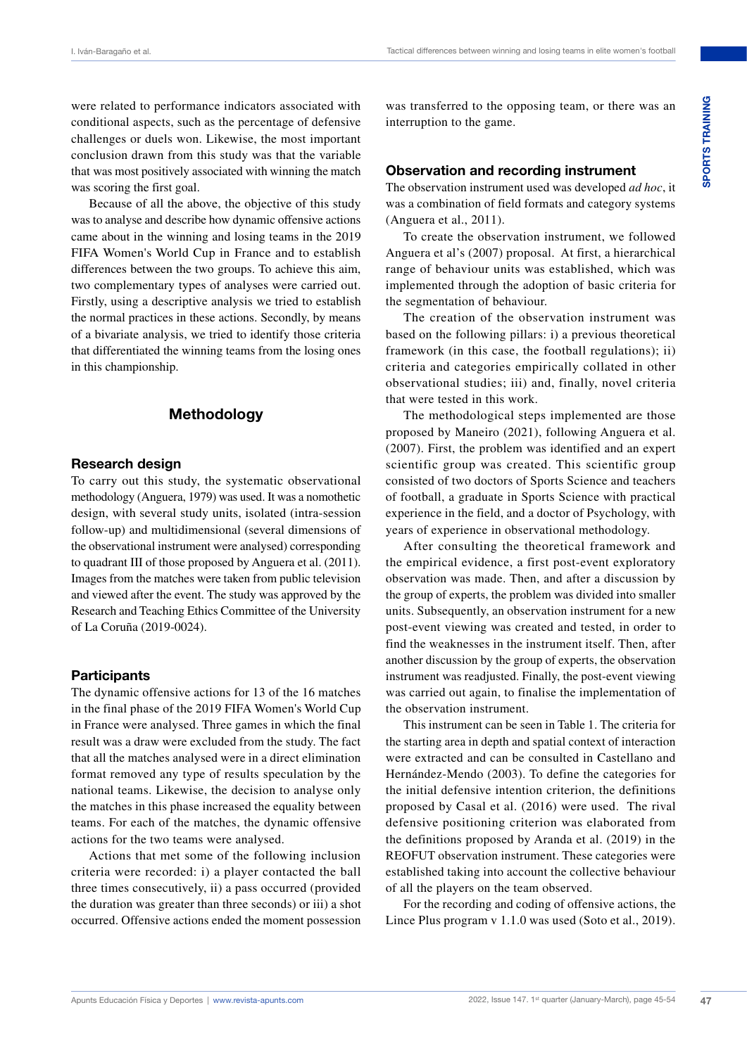were related to performance indicators associated with conditional aspects, such as the percentage of defensive challenges or duels won. Likewise, the most important conclusion drawn from this study was that the variable that was most positively associated with winning the match was scoring the first goal.

Because of all the above, the objective of this study was to analyse and describe how dynamic offensive actions came about in the winning and losing teams in the 2019 FIFA Women's World Cup in France and to establish differences between the two groups. To achieve this aim, two complementary types of analyses were carried out. Firstly, using a descriptive analysis we tried to establish the normal practices in these actions. Secondly, by means of a bivariate analysis, we tried to identify those criteria that differentiated the winning teams from the losing ones in this championship.

# **Methodology**

### **Research design**

To carry out this study, the systematic observational methodology (Anguera, 1979) was used. It was a nomothetic design, with several study units, isolated (intra-session follow-up) and multidimensional (several dimensions of the observational instrument were analysed) corresponding to quadrant III of those proposed by Anguera et al. (2011). Images from the matches were taken from public television and viewed after the event. The study was approved by the Research and Teaching Ethics Committee of the University of La Coruña (2019-0024).

### **Participants**

The dynamic offensive actions for 13 of the 16 matches in the final phase of the 2019 FIFA Women's World Cup in France were analysed. Three games in which the final result was a draw were excluded from the study. The fact that all the matches analysed were in a direct elimination format removed any type of results speculation by the national teams. Likewise, the decision to analyse only the matches in this phase increased the equality between teams. For each of the matches, the dynamic offensive actions for the two teams were analysed.

Actions that met some of the following inclusion criteria were recorded: i) a player contacted the ball three times consecutively, ii) a pass occurred (provided the duration was greater than three seconds) or iii) a shot occurred. Offensive actions ended the moment possession

was transferred to the opposing team, or there was an interruption to the game.

### **Observation and recording instrument**

The observation instrument used was developed *ad hoc*, it was a combination of field formats and category systems (Anguera et al., 2011).

To create the observation instrument, we followed Anguera et al's (2007) proposal. At first, a hierarchical range of behaviour units was established, which was implemented through the adoption of basic criteria for the segmentation of behaviour.

The creation of the observation instrument was based on the following pillars: i) a previous theoretical framework (in this case, the football regulations); ii) criteria and categories empirically collated in other observational studies; iii) and, finally, novel criteria that were tested in this work.

The methodological steps implemented are those proposed by Maneiro (2021), following Anguera et al. (2007). First, the problem was identified and an expert scientific group was created. This scientific group consisted of two doctors of Sports Science and teachers of football, a graduate in Sports Science with practical experience in the field, and a doctor of Psychology, with years of experience in observational methodology.

After consulting the theoretical framework and the empirical evidence, a first post-event exploratory observation was made. Then, and after a discussion by the group of experts, the problem was divided into smaller units. Subsequently, an observation instrument for a new post-event viewing was created and tested, in order to find the weaknesses in the instrument itself. Then, after another discussion by the group of experts, the observation instrument was readjusted. Finally, the post-event viewing was carried out again, to finalise the implementation of the observation instrument.

This instrument can be seen in Table 1. The criteria for the starting area in depth and spatial context of interaction were extracted and can be consulted in Castellano and Hernández-Mendo (2003). To define the categories for the initial defensive intention criterion, the definitions proposed by Casal et al. (2016) were used. The rival defensive positioning criterion was elaborated from the definitions proposed by Aranda et al. (2019) in the REOFUT observation instrument. These categories were established taking into account the collective behaviour of all the players on the team observed.

For the recording and coding of offensive actions, the Lince Plus program v 1.1.0 was used (Soto et al., 2019).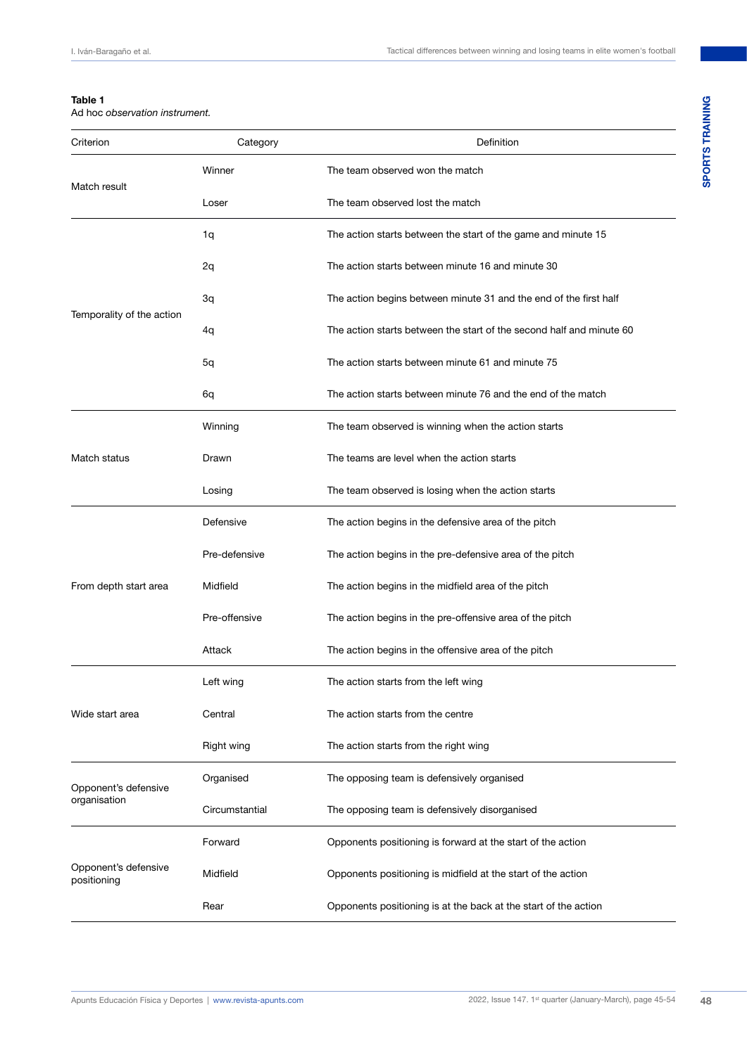### **Table 1**

Ad hoc *observation instrument.*

| Criterion                            | Category       | Definition                                                           |  |
|--------------------------------------|----------------|----------------------------------------------------------------------|--|
|                                      | Winner         | The team observed won the match                                      |  |
| Match result                         | Loser          | The team observed lost the match                                     |  |
|                                      | 1q             | The action starts between the start of the game and minute 15        |  |
|                                      | 2q             | The action starts between minute 16 and minute 30                    |  |
|                                      | 3q             | The action begins between minute 31 and the end of the first half    |  |
| Temporality of the action            | 4q             | The action starts between the start of the second half and minute 60 |  |
|                                      | 5q             | The action starts between minute 61 and minute 75                    |  |
|                                      | 6q             | The action starts between minute 76 and the end of the match         |  |
| Match status                         | Winning        | The team observed is winning when the action starts                  |  |
|                                      | Drawn          | The teams are level when the action starts                           |  |
|                                      | Losing         | The team observed is losing when the action starts                   |  |
| From depth start area                | Defensive      | The action begins in the defensive area of the pitch                 |  |
|                                      | Pre-defensive  | The action begins in the pre-defensive area of the pitch             |  |
|                                      | Midfield       | The action begins in the midfield area of the pitch                  |  |
|                                      | Pre-offensive  | The action begins in the pre-offensive area of the pitch             |  |
|                                      | Attack         | The action begins in the offensive area of the pitch                 |  |
| Wide start area                      | Left wing      | The action starts from the left wing                                 |  |
|                                      | Central        | The action starts from the centre                                    |  |
|                                      | Right wing     | The action starts from the right wing                                |  |
| Opponent's defensive<br>organisation | Organised      | The opposing team is defensively organised                           |  |
|                                      | Circumstantial | The opposing team is defensively disorganised                        |  |
| Opponent's defensive<br>positioning  | Forward        | Opponents positioning is forward at the start of the action          |  |
|                                      | Midfield       | Opponents positioning is midfield at the start of the action         |  |
|                                      | Rear           | Opponents positioning is at the back at the start of the action      |  |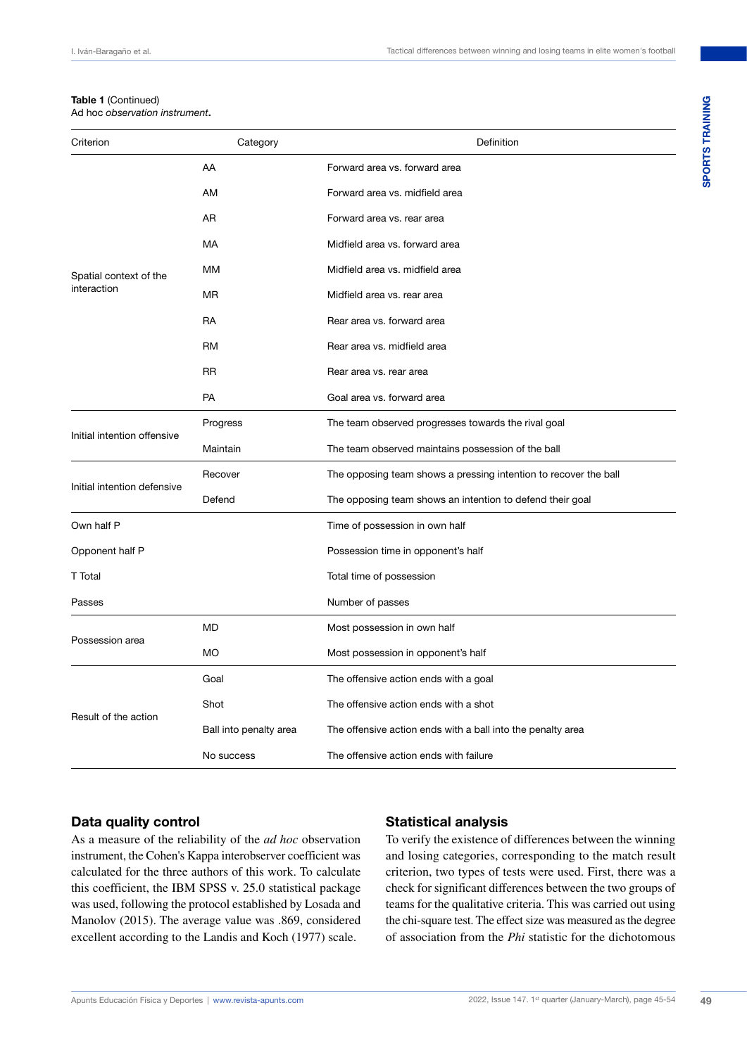# **Table 1** (Continued)

Ad hoc *observation instrument***.**

| Criterion                             | Category                       | Definition                                                       |  |  |
|---------------------------------------|--------------------------------|------------------------------------------------------------------|--|--|
| Spatial context of the<br>interaction | AA                             | Forward area vs. forward area                                    |  |  |
|                                       | AM                             | Forward area vs. midfield area                                   |  |  |
|                                       | AR                             | Forward area vs. rear area                                       |  |  |
|                                       | MA                             | Midfield area vs. forward area                                   |  |  |
|                                       | MМ                             | Midfield area vs. midfield area                                  |  |  |
|                                       | <b>MR</b>                      | Midfield area vs. rear area                                      |  |  |
|                                       | <b>RA</b>                      | Rear area vs. forward area                                       |  |  |
|                                       | <b>RM</b>                      | Rear area vs. midfield area                                      |  |  |
|                                       | <b>RR</b>                      | Rear area vs. rear area                                          |  |  |
|                                       | PA                             | Goal area vs. forward area                                       |  |  |
| Initial intention offensive           | Progress                       | The team observed progresses towards the rival goal              |  |  |
|                                       | Maintain                       | The team observed maintains possession of the ball               |  |  |
| Initial intention defensive           | Recover                        | The opposing team shows a pressing intention to recover the ball |  |  |
|                                       | Defend                         | The opposing team shows an intention to defend their goal        |  |  |
| Own half P                            | Time of possession in own half |                                                                  |  |  |
| Opponent half P                       |                                | Possession time in opponent's half                               |  |  |
| <b>T</b> Total                        |                                | Total time of possession                                         |  |  |
| Passes                                |                                | Number of passes                                                 |  |  |
| Possession area                       | MD                             | Most possession in own half                                      |  |  |
|                                       | МO                             | Most possession in opponent's half                               |  |  |
| Result of the action                  | Goal                           | The offensive action ends with a goal                            |  |  |
|                                       | Shot                           | The offensive action ends with a shot                            |  |  |
|                                       | Ball into penalty area         | The offensive action ends with a ball into the penalty area      |  |  |
|                                       | No success                     | The offensive action ends with failure                           |  |  |

# **Data quality control**

As a measure of the reliability of the *ad hoc* observation instrument, the Cohen's Kappa interobserver coefficient was calculated for the three authors of this work. To calculate this coefficient, the IBM SPSS v. 25.0 statistical package was used, following the protocol established by Losada and Manolov (2015). The average value was .869, considered excellent according to the Landis and Koch (1977) scale.

### **Statistical analysis**

To verify the existence of differences between the winning and losing categories, corresponding to the match result criterion, two types of tests were used. First, there was a check for significant differences between the two groups of teams for the qualitative criteria. This was carried out using the chi-square test. The effect size was measured as the degree of association from the *Phi* statistic for the dichotomous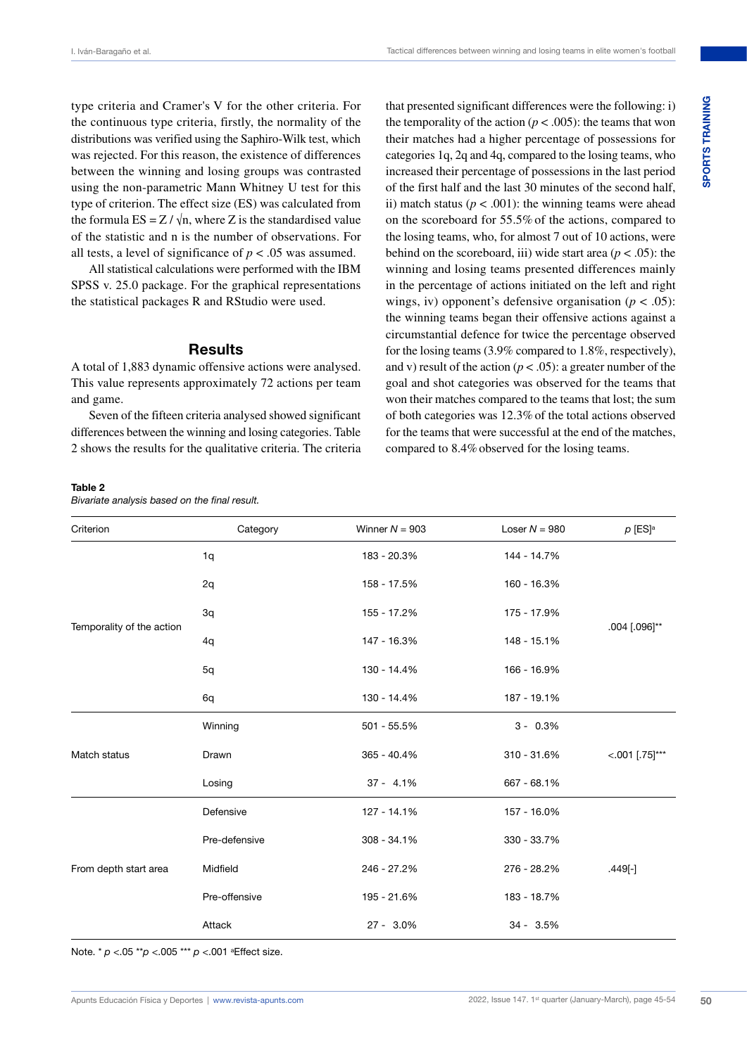type criteria and Cramer's V for the other criteria. For the continuous type criteria, firstly, the normality of the distributions was verified using the Saphiro-Wilk test, which was rejected. For this reason, the existence of differences between the winning and losing groups was contrasted using the non-parametric Mann Whitney U test for this type of criterion. The effect size (ES) was calculated from the formula  $ES = Z / \sqrt{n}$ , where Z is the standardised value of the statistic and n is the number of observations. For all tests, a level of significance of  $p < .05$  was assumed.

All statistical calculations were performed with the IBM SPSS v. 25.0 package. For the graphical representations the statistical packages R and RStudio were used.

## **Results**

A total of 1,883 dynamic offensive actions were analysed. This value represents approximately 72 actions per team and game.

Seven of the fifteen criteria analysed showed significant differences between the winning and losing categories. Table 2 shows the results for the qualitative criteria. The criteria

that presented significant differences were the following: i) the temporality of the action ( $p < .005$ ): the teams that won their matches had a higher percentage of possessions for categories 1q, 2q and 4q, compared to the losing teams, who increased their percentage of possessions in the last period of the first half and the last 30 minutes of the second half, ii) match status ( $p < .001$ ): the winning teams were ahead on the scoreboard for 55.5% of the actions, compared to the losing teams, who, for almost 7 out of 10 actions, were behind on the scoreboard, iii) wide start area  $(p < .05)$ : the winning and losing teams presented differences mainly in the percentage of actions initiated on the left and right wings, iv) opponent's defensive organisation (*p* < .05): the winning teams began their offensive actions against a circumstantial defence for twice the percentage observed for the losing teams (3.9% compared to 1.8%, respectively), and v) result of the action ( $p < .05$ ): a greater number of the goal and shot categories was observed for the teams that won their matches compared to the teams that lost; the sum of both categories was 12.3%of the total actions observed for the teams that were successful at the end of the matches, compared to 8.4%observed for the losing teams.

### **Table 2**

*Bivariate analysis based on the final result.*

| Criterion                 | Category      | Winner $N = 903$ | Loser $N = 980$ | $\rho$ [ES] <sup>a</sup> |
|---------------------------|---------------|------------------|-----------------|--------------------------|
|                           | 1q            | 183 - 20.3%      | 144 - 14.7%     |                          |
|                           | 2q            | 158 - 17.5%      | 160 - 16.3%     |                          |
| Temporality of the action | 3q            | 155 - 17.2%      | 175 - 17.9%     | .004 [.096]**            |
|                           | 4q            | 147 - 16.3%      | 148 - 15.1%     |                          |
|                           | 5q            | 130 - 14.4%      | 166 - 16.9%     |                          |
|                           | 6q            | 130 - 14.4%      | 187 - 19.1%     |                          |
| Match status              | Winning       | 501 - 55.5%      | $3 - 0.3\%$     |                          |
|                           | Drawn         | $365 - 40.4%$    | 310 - 31.6%     | $< .001$ [.75]***        |
|                           | Losing        | $37 - 4.1\%$     | 667 - 68.1%     |                          |
| From depth start area     | Defensive     | 127 - 14.1%      | 157 - 16.0%     |                          |
|                           | Pre-defensive | $308 - 34.1%$    | 330 - 33.7%     |                          |
|                           | Midfield      | 246 - 27.2%      | 276 - 28.2%     | $.449[-]$                |
|                           | Pre-offensive | 195 - 21.6%      | 183 - 18.7%     |                          |
|                           | Attack        | 27 - 3.0%        | $34 - 3.5%$     |                          |

Note. \* *p* <.05 \*\**p* <.005 \*\*\* *p* <.001 aEffect size.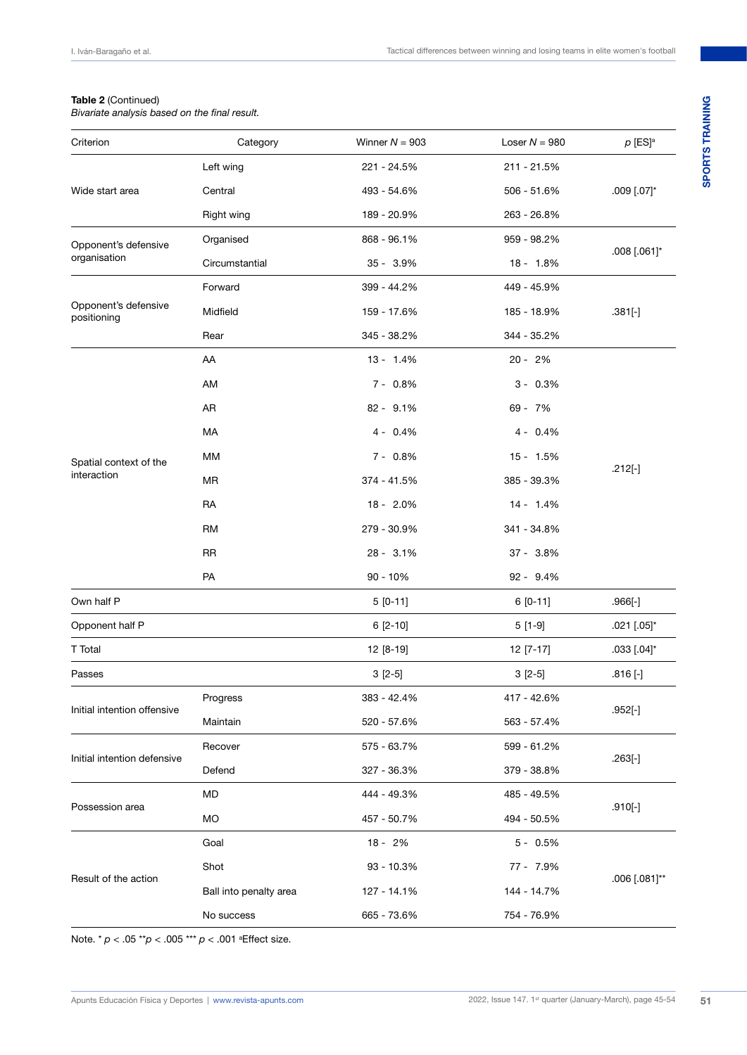## **Table 2** (Continued)

*Bivariate analysis based on the final result.*

| Criterion                            | Category               | Winner $N = 903$ | Loser $N = 980$ | $p$ [ES] <sup>a</sup> |
|--------------------------------------|------------------------|------------------|-----------------|-----------------------|
| Wide start area                      | Left wing              | 221 - 24.5%      | 211 - 21.5%     | $.009$ [.07]*         |
|                                      | Central                | 493 - 54.6%      | 506 - 51.6%     |                       |
|                                      | Right wing             | 189 - 20.9%      | 263 - 26.8%     |                       |
| Opponent's defensive<br>organisation | Organised              | 868 - 96.1%      | 959 - 98.2%     | $.008$ [.061]*        |
|                                      | Circumstantial         | $35 - 3.9\%$     | 18 - 1.8%       |                       |
|                                      | Forward                | 399 - 44.2%      | 449 - 45.9%     | $.381[-]$             |
| Opponent's defensive<br>positioning  | Midfield               | 159 - 17.6%      | 185 - 18.9%     |                       |
|                                      | Rear                   | 345 - 38.2%      | 344 - 35.2%     |                       |
|                                      | AA                     | $13 - 1.4%$      | $20 - 2%$       |                       |
|                                      | AM                     | $7 - 0.8\%$      | $3 - 0.3\%$     |                       |
|                                      | AR                     | 82 - 9.1%        | 69 - 7%         |                       |
|                                      | MA                     | $4 - 0.4\%$      | $4 - 0.4\%$     | $.212[-]$             |
| Spatial context of the               | MМ                     | $7 - 0.8\%$      | $15 - 1.5%$     |                       |
| interaction                          | MR                     | 374 - 41.5%      | 385 - 39.3%     |                       |
|                                      | RA                     | 18 - 2.0%        | $14 - 1.4%$     |                       |
|                                      | <b>RM</b>              | 279 - 30.9%      | 341 - 34.8%     |                       |
|                                      | <b>RR</b>              | 28 - 3.1%        | 37 - 3.8%       |                       |
|                                      | PA                     | $90 - 10%$       | $92 - 9.4%$     |                       |
| Own half P                           |                        | $5[0-11]$        | $6[0-11]$       | $.966[-]$             |
| Opponent half P                      |                        | $6[2-10]$        | $5[1-9]$        | .021 [.05]*           |
| T Total                              |                        | 12 [8-19]        | 12 [7-17]       | .033 [.04]*           |
| Passes                               |                        | $3[2-5]$         | $3[2-5]$        | $.816$ [-]            |
| Initial intention offensive          | Progress               | 383 - 42.4%      | 417 - 42.6%     | $.952[-]$             |
|                                      | Maintain               | 520 - 57.6%      | 563 - 57.4%     |                       |
|                                      | Recover                | 575 - 63.7%      | 599 - 61.2%     | $.263[-]$             |
| Initial intention defensive          | Defend                 | 327 - 36.3%      | 379 - 38.8%     |                       |
| Possession area                      | MD                     | 444 - 49.3%      | 485 - 49.5%     | $.910[-]$             |
|                                      | MO                     | 457 - 50.7%      | 494 - 50.5%     |                       |
| Result of the action                 | Goal                   | 18 - 2%          | $5 - 0.5%$      | .006 [.081]**         |
|                                      | Shot                   | 93 - 10.3%       | 77 - 7.9%       |                       |
|                                      | Ball into penalty area | 127 - 14.1%      | 144 - 14.7%     |                       |
|                                      | No success             | 665 - 73.6%      | 754 - 76.9%     |                       |
|                                      |                        |                  |                 |                       |

Note. \* *p* < .05 \*\**p* < .005 \*\*\* *p* < .001 aEffect size.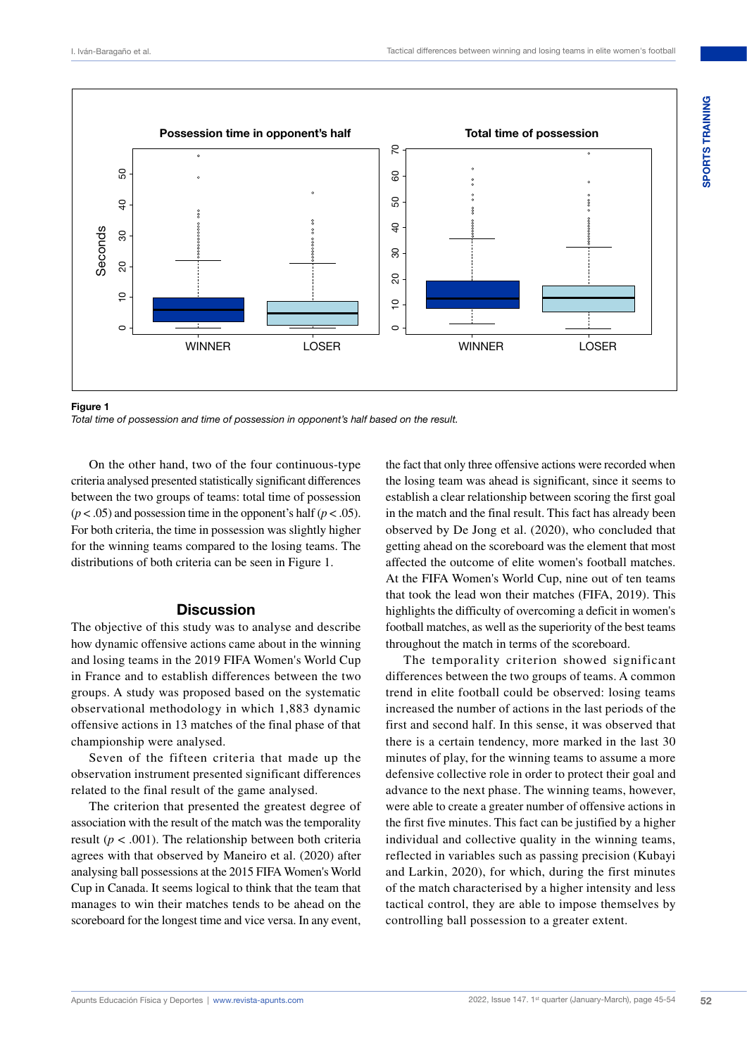

**Figure 1** *Total time of possession and time of possession in opponent's half based on the result.*

On the other hand, two of the four continuous-type criteria analysed presented statistically significant differences between the two groups of teams: total time of possession  $(p < .05)$  and possession time in the opponent's half  $(p < .05)$ . For both criteria, the time in possession was slightly higher for the winning teams compared to the losing teams. The distributions of both criteria can be seen in Figure 1.

# **Discussion**

The objective of this study was to analyse and describe how dynamic offensive actions came about in the winning and losing teams in the 2019 FIFA Women's World Cup in France and to establish differences between the two groups. A study was proposed based on the systematic observational methodology in which 1,883 dynamic offensive actions in 13 matches of the final phase of that championship were analysed.

Seven of the fifteen criteria that made up the observation instrument presented significant differences related to the final result of the game analysed.

The criterion that presented the greatest degree of association with the result of the match was the temporality result ( $p < .001$ ). The relationship between both criteria agrees with that observed by Maneiro et al. (2020) after analysing ball possessions at the 2015 FIFA Women's World Cup in Canada. It seems logical to think that the team that manages to win their matches tends to be ahead on the scoreboard for the longest time and vice versa. In any event,

the fact that only three offensive actions were recorded when the losing team was ahead is significant, since it seems to establish a clear relationship between scoring the first goal in the match and the final result. This fact has already been observed by De Jong et al. (2020), who concluded that getting ahead on the scoreboard was the element that most affected the outcome of elite women's football matches. At the FIFA Women's World Cup, nine out of ten teams that took the lead won their matches (FIFA, 2019). This highlights the difficulty of overcoming a deficit in women's football matches, as well as the superiority of the best teams throughout the match in terms of the scoreboard.

The temporality criterion showed significant differences between the two groups of teams. A common trend in elite football could be observed: losing teams increased the number of actions in the last periods of the first and second half. In this sense, it was observed that there is a certain tendency, more marked in the last 30 minutes of play, for the winning teams to assume a more defensive collective role in order to protect their goal and advance to the next phase. The winning teams, however, were able to create a greater number of offensive actions in the first five minutes. This fact can be justified by a higher individual and collective quality in the winning teams, reflected in variables such as passing precision (Kubayi and Larkin, 2020), for which, during the first minutes of the match characterised by a higher intensity and less tactical control, they are able to impose themselves by controlling ball possession to a greater extent.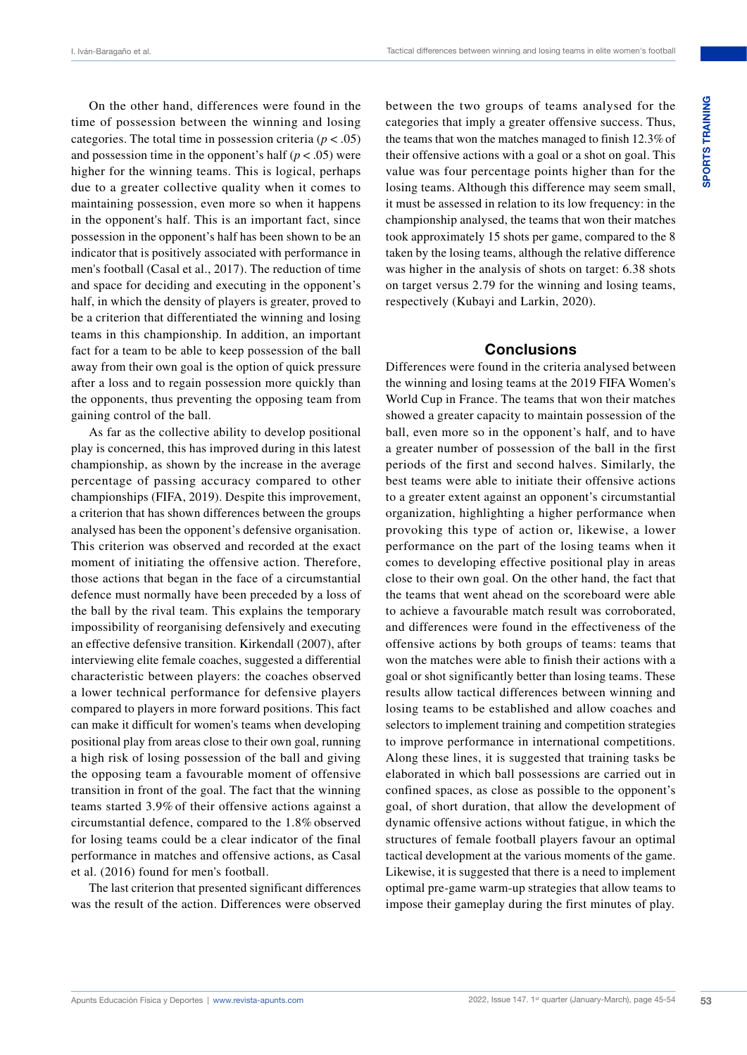On the other hand, differences were found in the time of possession between the winning and losing categories. The total time in possession criteria ( $p < .05$ ) and possession time in the opponent's half  $(p < .05)$  were higher for the winning teams. This is logical, perhaps due to a greater collective quality when it comes to maintaining possession, even more so when it happens in the opponent's half. This is an important fact, since possession in the opponent's half has been shown to be an indicator that is positively associated with performance in men's football (Casal et al., 2017). The reduction of time and space for deciding and executing in the opponent's half, in which the density of players is greater, proved to be a criterion that differentiated the winning and losing teams in this championship. In addition, an important fact for a team to be able to keep possession of the ball away from their own goal is the option of quick pressure after a loss and to regain possession more quickly than the opponents, thus preventing the opposing team from gaining control of the ball.

As far as the collective ability to develop positional play is concerned, this has improved during in this latest championship, as shown by the increase in the average percentage of passing accuracy compared to other championships (FIFA, 2019). Despite this improvement, a criterion that has shown differences between the groups analysed has been the opponent's defensive organisation. This criterion was observed and recorded at the exact moment of initiating the offensive action. Therefore, those actions that began in the face of a circumstantial defence must normally have been preceded by a loss of the ball by the rival team. This explains the temporary impossibility of reorganising defensively and executing an effective defensive transition. Kirkendall (2007), after interviewing elite female coaches, suggested a differential characteristic between players: the coaches observed a lower technical performance for defensive players compared to players in more forward positions. This fact can make it difficult for women's teams when developing positional play from areas close to their own goal, running a high risk of losing possession of the ball and giving the opposing team a favourable moment of offensive transition in front of the goal. The fact that the winning teams started 3.9% of their offensive actions against a circumstantial defence, compared to the 1.8% observed for losing teams could be a clear indicator of the final performance in matches and offensive actions, as Casal et al. (2016) found for men's football.

The last criterion that presented significant differences was the result of the action. Differences were observed

between the two groups of teams analysed for the categories that imply a greater offensive success. Thus, the teams that won the matches managed to finish 12.3%of their offensive actions with a goal or a shot on goal. This value was four percentage points higher than for the losing teams. Although this difference may seem small, it must be assessed in relation to its low frequency: in the championship analysed, the teams that won their matches took approximately 15 shots per game, compared to the 8 taken by the losing teams, although the relative difference was higher in the analysis of shots on target: 6.38 shots on target versus 2.79 for the winning and losing teams, respectively (Kubayi and Larkin, 2020).

# **Conclusions**

Differences were found in the criteria analysed between the winning and losing teams at the 2019 FIFA Women's World Cup in France. The teams that won their matches showed a greater capacity to maintain possession of the ball, even more so in the opponent's half, and to have a greater number of possession of the ball in the first periods of the first and second halves. Similarly, the best teams were able to initiate their offensive actions to a greater extent against an opponent's circumstantial organization, highlighting a higher performance when provoking this type of action or, likewise, a lower performance on the part of the losing teams when it comes to developing effective positional play in areas close to their own goal. On the other hand, the fact that the teams that went ahead on the scoreboard were able to achieve a favourable match result was corroborated, and differences were found in the effectiveness of the offensive actions by both groups of teams: teams that won the matches were able to finish their actions with a goal or shot significantly better than losing teams. These results allow tactical differences between winning and losing teams to be established and allow coaches and selectors to implement training and competition strategies to improve performance in international competitions. Along these lines, it is suggested that training tasks be elaborated in which ball possessions are carried out in confined spaces, as close as possible to the opponent's goal, of short duration, that allow the development of dynamic offensive actions without fatigue, in which the structures of female football players favour an optimal tactical development at the various moments of the game. Likewise, it is suggested that there is a need to implement optimal pre-game warm-up strategies that allow teams to impose their gameplay during the first minutes of play.